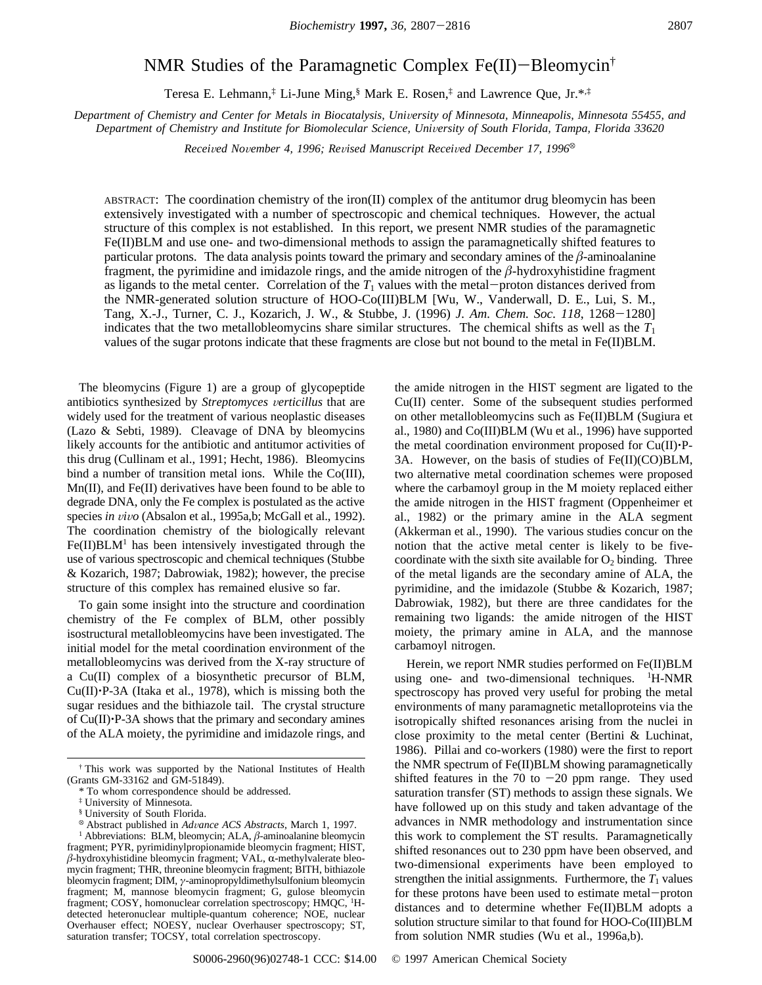# NMR Studies of the Paramagnetic Complex Fe(II)-Bleomycin†

Teresa E. Lehmann,‡ Li-June Ming,§ Mark E. Rosen,‡ and Lawrence Que, Jr.\*,‡

Department of Chemistry and Center for Metals in Biocatalysis, University of Minnesota, Minneapolis, Minnesota 55455, and *Department of Chemistry and Institute for Biomolecular Science, University of South Florida, Tampa, Florida 33620* 

*Received November 4, 1996; Revised Manuscript Received December 17, 1996*<sup>®</sup>

ABSTRACT: The coordination chemistry of the iron(II) complex of the antitumor drug bleomycin has been extensively investigated with a number of spectroscopic and chemical techniques. However, the actual structure of this complex is not established. In this report, we present NMR studies of the paramagnetic Fe(II)BLM and use one- and two-dimensional methods to assign the paramagnetically shifted features to particular protons. The data analysis points toward the primary and secondary amines of the  $\beta$ -aminoalanine fragment, the pyrimidine and imidazole rings, and the amide nitrogen of the *â*-hydroxyhistidine fragment as ligands to the metal center. Correlation of the  $T_1$  values with the metal-proton distances derived from the NMR-generated solution structure of HOO-Co(III)BLM [Wu, W., Vanderwall, D. E., Lui, S. M., Tang, X.-J., Turner, C. J., Kozarich, J. W., & Stubbe, J. (1996) *J. Am. Chem. Soc. 118*, 1268-1280] indicates that the two metallobleomycins share similar structures. The chemical shifts as well as the  $T_1$ values of the sugar protons indicate that these fragments are close but not bound to the metal in Fe(II)BLM.

The bleomycins (Figure 1) are a group of glycopeptide antibiotics synthesized by *Streptomyces verticillus* that are widely used for the treatment of various neoplastic diseases (Lazo & Sebti, 1989). Cleavage of DNA by bleomycins likely accounts for the antibiotic and antitumor activities of this drug (Cullinam et al., 1991; Hecht, 1986). Bleomycins bind a number of transition metal ions. While the Co(III), Mn(II), and Fe(II) derivatives have been found to be able to degrade DNA, only the Fe complex is postulated as the active species *in vivo* (Absalon et al., 1995a,b; McGall et al., 1992). The coordination chemistry of the biologically relevant  $Fe(II)BLM<sup>1</sup>$  has been intensively investigated through the use of various spectroscopic and chemical techniques (Stubbe & Kozarich, 1987; Dabrowiak, 1982); however, the precise structure of this complex has remained elusive so far.

To gain some insight into the structure and coordination chemistry of the Fe complex of BLM, other possibly isostructural metallobleomycins have been investigated. The initial model for the metal coordination environment of the metallobleomycins was derived from the X-ray structure of a Cu(II) complex of a biosynthetic precursor of BLM, Cu(II)'P-3A (Itaka et al., 1978), which is missing both the sugar residues and the bithiazole tail. The crystal structure of  $Cu(II)$  $\cdot$ P-3A shows that the primary and secondary amines of the ALA moiety, the pyrimidine and imidazole rings, and

the amide nitrogen in the HIST segment are ligated to the Cu(II) center. Some of the subsequent studies performed on other metallobleomycins such as Fe(II)BLM (Sugiura et al., 1980) and Co(III)BLM (Wu et al., 1996) have supported the metal coordination environment proposed for  $Cu(II)\cdot P-$ 3A. However, on the basis of studies of Fe(II)(CO)BLM, two alternative metal coordination schemes were proposed where the carbamoyl group in the M moiety replaced either the amide nitrogen in the HIST fragment (Oppenheimer et al., 1982) or the primary amine in the ALA segment (Akkerman et al., 1990). The various studies concur on the notion that the active metal center is likely to be fivecoordinate with the sixth site available for  $O_2$  binding. Three of the metal ligands are the secondary amine of ALA, the pyrimidine, and the imidazole (Stubbe & Kozarich, 1987; Dabrowiak, 1982), but there are three candidates for the remaining two ligands: the amide nitrogen of the HIST moiety, the primary amine in ALA, and the mannose carbamoyl nitrogen.

Herein, we report NMR studies performed on Fe(II)BLM using one- and two-dimensional techniques. <sup>1</sup>H-NMR spectroscopy has proved very useful for probing the metal environments of many paramagnetic metalloproteins via the isotropically shifted resonances arising from the nuclei in close proximity to the metal center (Bertini & Luchinat, 1986). Pillai and co-workers (1980) were the first to report the NMR spectrum of Fe(II)BLM showing paramagnetically shifted features in the 70 to  $-20$  ppm range. They used saturation transfer (ST) methods to assign these signals. We have followed up on this study and taken advantage of the advances in NMR methodology and instrumentation since this work to complement the ST results. Paramagnetically shifted resonances out to 230 ppm have been observed, and two-dimensional experiments have been employed to strengthen the initial assignments. Furthermore, the  $T_1$  values for these protons have been used to estimate metal-proton distances and to determine whether Fe(II)BLM adopts a solution structure similar to that found for HOO-Co(III)BLM from solution NMR studies (Wu et al., 1996a,b).

<sup>†</sup> This work was supported by the National Institutes of Health (Grants GM-33162 and GM-51849).

<sup>\*</sup> To whom correspondence should be addressed.

<sup>‡</sup> University of Minnesota.

<sup>§</sup> University of South Florida.

<sup>X</sup> Abstract published in *Ad*V*ance ACS Abstracts*, March 1, 1997.

<sup>&</sup>lt;sup>1</sup> Abbreviations: BLM, bleomycin; ALA,  $\beta$ -aminoalanine bleomycin fragment; PYR, pyrimidinylpropionamide bleomycin fragment; HIST,  $\beta$ -hydroxyhistidine bleomycin fragment; VAL,  $\alpha$ -methylvalerate bleomycin fragment; THR, threonine bleomycin fragment; BITH, bithiazole bleomycin fragment; DIM, *γ*-aminopropyldimethylsulfonium bleomycin fragment; M, mannose bleomycin fragment; G, gulose bleomycin fragment; COSY, homonuclear correlation spectroscopy; HMQC, <sup>1</sup>Hdetected heteronuclear multiple-quantum coherence; NOE, nuclear Overhauser effect; NOESY, nuclear Overhauser spectroscopy; ST, saturation transfer; TOCSY, total correlation spectroscopy.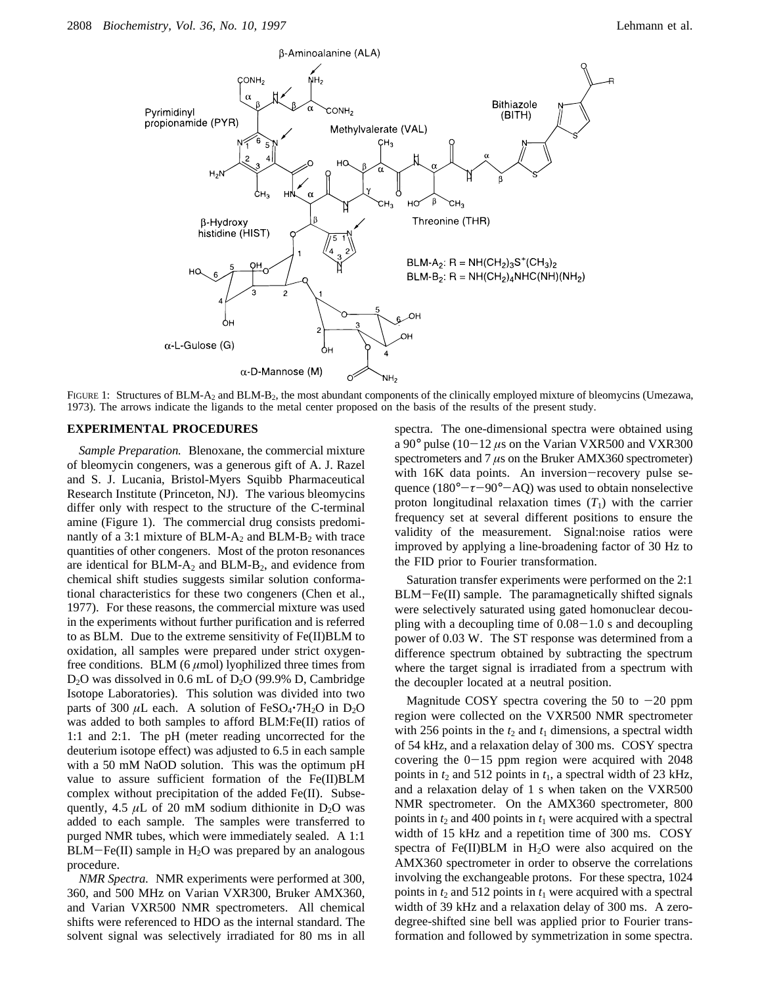

FIGURE 1: Structures of BLM-A<sub>2</sub> and BLM-B<sub>2</sub>, the most abundant components of the clinically employed mixture of bleomycins (Umezawa, 1973). The arrows indicate the ligands to the metal center proposed on the basis of the results of the present study.

#### **EXPERIMENTAL PROCEDURES**

*Sample Preparation.* Blenoxane, the commercial mixture of bleomycin congeners, was a generous gift of A. J. Razel and S. J. Lucania, Bristol-Myers Squibb Pharmaceutical Research Institute (Princeton, NJ). The various bleomycins differ only with respect to the structure of the C-terminal amine (Figure 1). The commercial drug consists predominantly of a 3:1 mixture of BLM- $A_2$  and BLM- $B_2$  with trace quantities of other congeners. Most of the proton resonances are identical for  $BLM-A_2$  and  $BLM-B_2$ , and evidence from chemical shift studies suggests similar solution conformational characteristics for these two congeners (Chen et al., 1977). For these reasons, the commercial mixture was used in the experiments without further purification and is referred to as BLM. Due to the extreme sensitivity of Fe(II)BLM to oxidation, all samples were prepared under strict oxygenfree conditions. BLM  $(6 \mu \text{mol})$  lyophilized three times from  $D_2O$  was dissolved in 0.6 mL of  $D_2O$  (99.9% D, Cambridge Isotope Laboratories). This solution was divided into two parts of 300  $\mu$ L each. A solution of FeSO<sub>4</sub> $\cdot$ 7H<sub>2</sub>O in D<sub>2</sub>O was added to both samples to afford BLM:Fe(II) ratios of 1:1 and 2:1. The pH (meter reading uncorrected for the deuterium isotope effect) was adjusted to 6.5 in each sample with a 50 mM NaOD solution. This was the optimum pH value to assure sufficient formation of the Fe(II)BLM complex without precipitation of the added Fe(II). Subsequently, 4.5  $\mu$ L of 20 mM sodium dithionite in D<sub>2</sub>O was added to each sample. The samples were transferred to purged NMR tubes, which were immediately sealed. A 1:1  $BLM-Fe(II)$  sample in  $H<sub>2</sub>O$  was prepared by an analogous procedure.

*NMR Spectra.* NMR experiments were performed at 300, 360, and 500 MHz on Varian VXR300, Bruker AMX360, and Varian VXR500 NMR spectrometers. All chemical shifts were referenced to HDO as the internal standard. The solvent signal was selectively irradiated for 80 ms in all

spectra. The one-dimensional spectra were obtained using a 90 $^{\circ}$  pulse (10-12  $\mu$ s on the Varian VXR500 and VXR300 spectrometers and 7 *µ*s on the Bruker AMX360 spectrometer) with 16K data points. An inversion-recovery pulse sequence (180°-*τ*-90°-AQ) was used to obtain nonselective proton longitudinal relaxation times  $(T_1)$  with the carrier frequency set at several different positions to ensure the validity of the measurement. Signal:noise ratios were improved by applying a line-broadening factor of 30 Hz to the FID prior to Fourier transformation.

Saturation transfer experiments were performed on the 2:1 BLM-Fe(II) sample. The paramagnetically shifted signals were selectively saturated using gated homonuclear decoupling with a decoupling time of  $0.08-1.0$  s and decoupling power of 0.03 W. The ST response was determined from a difference spectrum obtained by subtracting the spectrum where the target signal is irradiated from a spectrum with the decoupler located at a neutral position.

Magnitude COSY spectra covering the 50 to  $-20$  ppm region were collected on the VXR500 NMR spectrometer with 256 points in the  $t_2$  and  $t_1$  dimensions, a spectral width of 54 kHz, and a relaxation delay of 300 ms. COSY spectra covering the  $0-15$  ppm region were acquired with 2048 points in  $t_2$  and 512 points in  $t_1$ , a spectral width of 23 kHz, and a relaxation delay of 1 s when taken on the VXR500 NMR spectrometer. On the AMX360 spectrometer, 800 points in  $t_2$  and 400 points in  $t_1$  were acquired with a spectral width of 15 kHz and a repetition time of 300 ms. COSY spectra of Fe(II)BLM in  $H<sub>2</sub>O$  were also acquired on the AMX360 spectrometer in order to observe the correlations involving the exchangeable protons. For these spectra, 1024 points in  $t_2$  and 512 points in  $t_1$  were acquired with a spectral width of 39 kHz and a relaxation delay of 300 ms. A zerodegree-shifted sine bell was applied prior to Fourier transformation and followed by symmetrization in some spectra.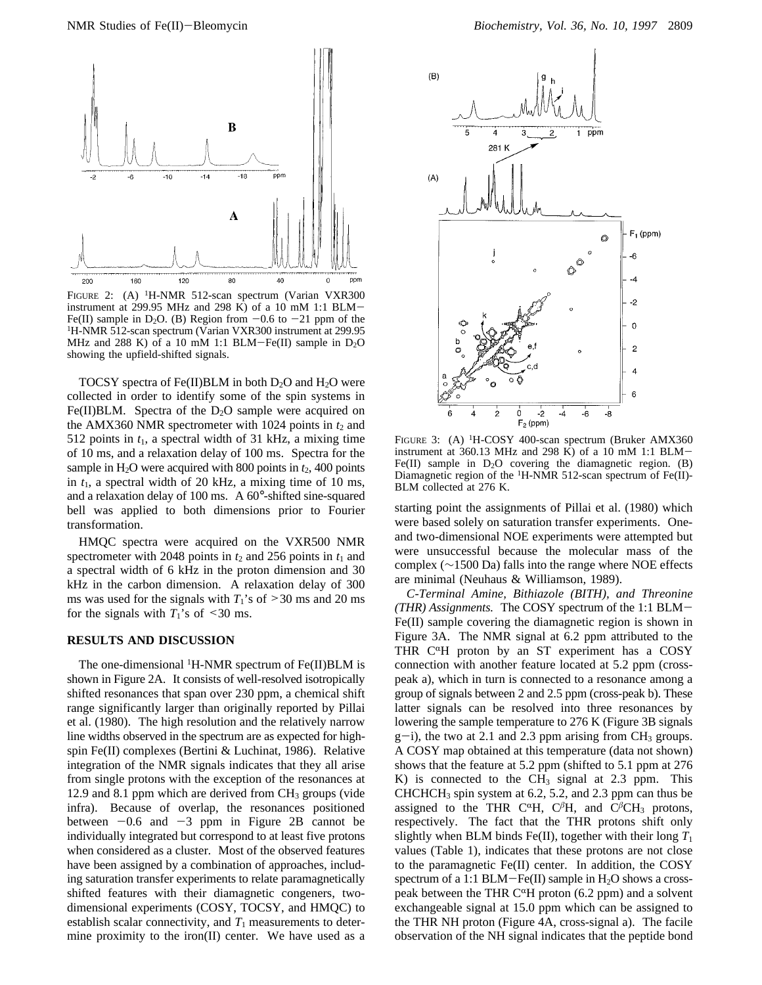

FIGURE 2: (A) <sup>1</sup>H-NMR 512-scan spectrum (Varian VXR300 instrument at 299.95 MHz and 298 K) of a 10 mM 1:1 BLM-Fe(II) sample in D<sub>2</sub>O. (B) Region from  $-0.6$  to  $-21$  ppm of the <sup>1</sup>H-NMR 512-scan spectrum (Varian VXR300 instrument at 299.95 MHz and 288 K) of a 10 mM 1:1 BLM-Fe(II) sample in  $D_2O$ showing the upfield-shifted signals.

TOCSY spectra of Fe(II)BLM in both  $D_2O$  and  $H_2O$  were collected in order to identify some of the spin systems in Fe(II)BLM. Spectra of the  $D_2O$  sample were acquired on the AMX360 NMR spectrometer with 1024 points in  $t_2$  and 512 points in  $t_1$ , a spectral width of 31 kHz, a mixing time of 10 ms, and a relaxation delay of 100 ms. Spectra for the sample in  $H_2O$  were acquired with 800 points in  $t_2$ , 400 points in  $t_1$ , a spectral width of 20 kHz, a mixing time of 10 ms, and a relaxation delay of 100 ms. A 60°-shifted sine-squared bell was applied to both dimensions prior to Fourier transformation.

HMQC spectra were acquired on the VXR500 NMR spectrometer with 2048 points in  $t_2$  and 256 points in  $t_1$  and a spectral width of 6 kHz in the proton dimension and 30 kHz in the carbon dimension. A relaxation delay of 300 ms was used for the signals with  $T_1$ 's of  $\geq$ 30 ms and 20 ms for the signals with  $T_1$ 's of <30 ms.

## **RESULTS AND DISCUSSION**

The one-dimensional <sup>1</sup>H-NMR spectrum of Fe(II)BLM is shown in Figure 2A. It consists of well-resolved isotropically shifted resonances that span over 230 ppm, a chemical shift range significantly larger than originally reported by Pillai et al. (1980). The high resolution and the relatively narrow line widths observed in the spectrum are as expected for highspin Fe(II) complexes (Bertini & Luchinat, 1986). Relative integration of the NMR signals indicates that they all arise from single protons with the exception of the resonances at 12.9 and 8.1 ppm which are derived from  $CH<sub>3</sub>$  groups (vide infra). Because of overlap, the resonances positioned between  $-0.6$  and  $-3$  ppm in Figure 2B cannot be individually integrated but correspond to at least five protons when considered as a cluster. Most of the observed features have been assigned by a combination of approaches, including saturation transfer experiments to relate paramagnetically shifted features with their diamagnetic congeners, twodimensional experiments (COSY, TOCSY, and HMQC) to establish scalar connectivity, and  $T_1$  measurements to determine proximity to the iron(II) center. We have used as a



FIGURE 3: (A) <sup>1</sup>H-COSY 400-scan spectrum (Bruker AMX360 instrument at 360.13 MHz and 298 K) of a 10 mM 1:1 BLM-Fe(II) sample in  $D_2O$  covering the diamagnetic region. (B) Diamagnetic region of the 1H-NMR 512-scan spectrum of Fe(II)- BLM collected at 276 K.

starting point the assignments of Pillai et al. (1980) which were based solely on saturation transfer experiments. Oneand two-dimensional NOE experiments were attempted but were unsuccessful because the molecular mass of the complex (∼1500 Da) falls into the range where NOE effects are minimal (Neuhaus & Williamson, 1989).

*C-Terminal Amine, Bithiazole (BITH), and Threonine (THR) Assignments.* The COSY spectrum of the 1:1 BLM-Fe(II) sample covering the diamagnetic region is shown in Figure 3A. The NMR signal at 6.2 ppm attributed to the THR  $C^{\alpha}H$  proton by an ST experiment has a COSY connection with another feature located at 5.2 ppm (crosspeak a), which in turn is connected to a resonance among a group of signals between 2 and 2.5 ppm (cross-peak b). These latter signals can be resolved into three resonances by lowering the sample temperature to 276 K (Figure 3B signals  $g$ -i), the two at 2.1 and 2.3 ppm arising from CH<sub>3</sub> groups. A COSY map obtained at this temperature (data not shown) shows that the feature at 5.2 ppm (shifted to 5.1 ppm at 276 K) is connected to the  $CH<sub>3</sub>$  signal at 2.3 ppm. This  $CHCHCH<sub>3</sub>$  spin system at 6.2, 5.2, and 2.3 ppm can thus be assigned to the THR C<sup> $\alpha$ </sup>H, C<sup> $\beta$ </sup>H, and C<sup> $\beta$ </sup>CH<sub>3</sub> protons, respectively. The fact that the THR protons shift only slightly when BLM binds Fe(II), together with their long  $T_1$ values (Table 1), indicates that these protons are not close to the paramagnetic Fe(II) center. In addition, the COSY spectrum of a 1:1 BLM-Fe(II) sample in  $H_2O$  shows a crosspeak between the THR C<sup> $\alpha$ </sup>H proton (6.2 ppm) and a solvent exchangeable signal at 15.0 ppm which can be assigned to the THR NH proton (Figure 4A, cross-signal a). The facile observation of the NH signal indicates that the peptide bond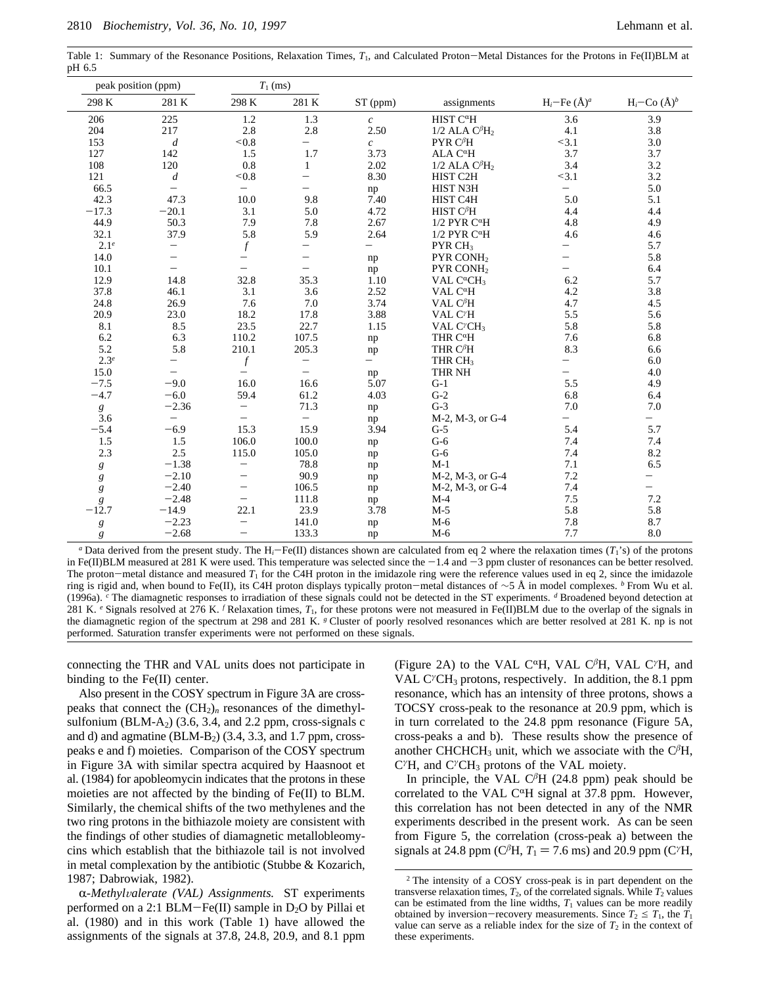Table 1: Summary of the Resonance Positions, Relaxation Times,  $T_1$ , and Calculated Proton-Metal Distances for the Protons in Fe(II)BLM at pH 6.5

|                  | peak position (ppm)      |                          | $T_1$ (ms)               |                          |                                              |                                   |                          |
|------------------|--------------------------|--------------------------|--------------------------|--------------------------|----------------------------------------------|-----------------------------------|--------------------------|
| 298 K            | 281 K                    | 298 K                    | 281 K                    | ST (ppm)                 | assignments                                  | $H_i$ –Fe (Å) <sup><i>a</i></sup> | $H_i$ –Co $(\AA)^b$      |
| 206              | 225                      | 1.2                      | 1.3                      | $\boldsymbol{c}$         | HIST C <sup>a</sup> H                        | 3.6                               | 3.9                      |
| 204              | 217                      | 2.8                      | 2.8                      | 2.50                     | $1/2$ ALA $C\betaH2$                         | 4.1                               | 3.8                      |
| 153              | $\boldsymbol{d}$         | < 0.8                    | $\overline{\phantom{0}}$ | $\mathfrak{c}$           | PYR $C\betaH$                                | < 3.1                             | 3.0                      |
| 127              | 142                      | 1.5                      | 1.7                      | 3.73                     | $ALA C\alphaH$                               | 3.7                               | 3.7                      |
| 108              | 120                      | 0.8                      | $\mathbf{1}$             | 2.02                     | $1/2$ ALA $C\betaH2$                         | 3.4                               | 3.2                      |
| 121              | $\boldsymbol{d}$         | ${}_{0.8}$               | $-$                      | 8.30                     | HIST C2H                                     | < 3.1                             | 3.2                      |
| 66.5             | $=$                      | $\qquad \qquad -$        | $\overline{\phantom{0}}$ | np                       | HIST N3H                                     | $\overline{\phantom{0}}$          | 5.0                      |
| 42.3             | 47.3                     | 10.0                     | 9.8                      | 7.40                     | HIST C4H                                     | 5.0                               | 5.1                      |
| $-17.3$          | $-20.1$                  | 3.1                      | 5.0                      | 4.72                     | HIST $C^{\beta}H$                            | 4.4                               | 4.4                      |
| 44.9             | 50.3                     | 7.9                      | 7.8                      | 2.67                     | $1/2$ PYR C <sup><math>\alpha</math></sup> H | 4.8                               | 4.9                      |
| 32.1             | 37.9                     | 5.8                      | 5.9                      | 2.64                     | $1/2$ PYR C <sup><math>\alpha</math></sup> H | 4.6                               | 4.6                      |
| 2.1 <sup>e</sup> | -                        | $\boldsymbol{f}$         | —                        | $\overline{\phantom{0}}$ | PYR CH <sub>3</sub>                          | -                                 | 5.7                      |
| 14.0             | $\equiv$                 | $\overline{\phantom{0}}$ | $\equiv$                 | np                       | PYR CONH <sub>2</sub>                        | $\equiv$                          | 5.8                      |
| 10.1             | —                        | $\overline{\phantom{0}}$ | $\overline{\phantom{0}}$ | np                       | PYR CONH <sub>2</sub>                        | $\overline{\phantom{0}}$          | 6.4                      |
| 12.9             | 14.8                     | 32.8                     | 35.3                     | 1.10                     | VAL C <sup>a</sup> CH <sub>3</sub>           | 6.2                               | 5.7                      |
| 37.8             | 46.1                     | 3.1                      | 3.6                      | 2.52                     | VAL $C^{\alpha}H$                            | 4.2                               | 3.8                      |
| 24.8             | 26.9                     | 7.6                      | 7.0                      | 3.74                     | VAL $C^{\beta}H$                             | 4.7                               | 4.5                      |
| 20.9             | 23.0                     | 18.2                     | 17.8                     | 3.88                     | VAL C'H                                      | 5.5                               | 5.6                      |
| 8.1              | 8.5                      | 23.5                     | 22.7                     | 1.15                     | VAL C <sup>y</sup> CH <sub>3</sub>           | 5.8                               | 5.8                      |
| 6.2              | 6.3                      | 110.2                    | 107.5                    | np                       | THR C <sup>a</sup> H                         | 7.6                               | 6.8                      |
| 5.2              | 5.8                      | 210.1                    | 205.3                    | np                       | THR $C^{\beta}H$                             | 8.3                               | 6.6                      |
| 2.3 <sup>e</sup> | $\overline{\phantom{0}}$ | $\boldsymbol{f}$         | -                        | $\overline{\phantom{0}}$ | THR CH <sub>3</sub>                          | $\overline{\phantom{0}}$          | 6.0                      |
| 15.0             |                          | $\equiv$                 | $-$                      | np                       | THR NH                                       |                                   | 4.0                      |
| $-7.5$           | $-9.0$                   | 16.0                     | 16.6                     | 5.07                     | $G-1$                                        | 5.5                               | 4.9                      |
| $-4.7$           | $-6.0$                   | 59.4                     | 61.2                     | 4.03                     | $G-2$                                        | 6.8                               | 6.4                      |
| $\boldsymbol{g}$ | $-2.36$                  | $\overline{\phantom{0}}$ | 71.3                     | np                       | $G-3$                                        | 7.0                               | 7.0                      |
| 3.6              | $=$                      | $\equiv$                 | $\equiv$                 | np                       | M-2, M-3, or G-4                             | $\overline{\phantom{0}}$          | $-$                      |
| $-5.4$           | $-6.9$                   | 15.3                     | 15.9                     | 3.94                     | $G-5$                                        | 5.4                               | 5.7                      |
| 1.5              | 1.5                      | 106.0                    | 100.0                    | np                       | $G-6$                                        | 7.4                               | 7.4                      |
| 2.3              | 2.5                      | 115.0                    | 105.0                    | np                       | $G-6$                                        | 7.4                               | 8.2                      |
| $\boldsymbol{g}$ | $-1.38$                  | $\overline{\phantom{0}}$ | 78.8                     | np                       | $M-1$                                        | 7.1                               | 6.5                      |
| $\boldsymbol{g}$ | $-2.10$                  | $\equiv$                 | 90.9                     | np                       | M-2, M-3, or G-4                             | 7.2                               | $\overline{\phantom{0}}$ |
| g                | $-2.40$                  | $\qquad \qquad -$        | 106.5                    | np                       | M-2, M-3, or G-4                             | 7.4                               | $\overline{\phantom{0}}$ |
| g                | $-2.48$                  | $\qquad \qquad -$        | 111.8                    | np                       | $M-4$                                        | 7.5                               | 7.2                      |
| $-12.7$          | $-14.9$                  | 22.1                     | 23.9                     | 3.78                     | $M-5$                                        | 5.8                               | 5.8                      |
| g                | $-2.23$                  | $\qquad \qquad -$        | 141.0                    | np                       | $M-6$                                        | 7.8                               | 8.7                      |
| g                | $-2.68$                  | $\overline{\phantom{0}}$ | 133.3                    | np                       | $M-6$                                        | 7.7                               | 8.0                      |

*a* Data derived from the present study. The  $H_i$ –Fe(II) distances shown are calculated from eq 2 where the relaxation times  $(T_i$ 's) of the protons in Fe(II)BLM measured at 281 K were used. This temperature was selected since the  $-1.4$  and  $-3$  ppm cluster of resonances can be better resolved. The proton-metal distance and measured  $T_1$  for the C4H proton in the imidazole ring were the reference values used in eq 2, since the imidazole ring is rigid and, when bound to Fe(II), its C4H proton displays typically proton-metal distances of <sup>∼</sup>5 Å in model complexes. *<sup>b</sup>* From Wu et al. (1996a). *<sup>c</sup>* The diamagnetic responses to irradiation of these signals could not be detected in the ST experiments. *<sup>d</sup>* Broadened beyond detection at 281 K. <sup>*e*</sup> Signals resolved at 276 K. <sup>*f*</sup> Relaxation times,  $T_1$ , for these protons were not measured in Fe(II)BLM due to the overlap of the signals in the diamagnetic region of the spectrum at 298 and 281 K. <sup>*g*</sup> Cluster of poorly resolved resonances which are better resolved at 281 K. np is not performed. Saturation transfer experiments were not performed on these signals.

connecting the THR and VAL units does not participate in binding to the Fe(II) center.

Also present in the COSY spectrum in Figure 3A are crosspeaks that connect the  $(CH_2)_n$  resonances of the dimethylsulfonium (BLM-A<sub>2</sub>) (3.6, 3.4, and 2.2 ppm, cross-signals c and d) and agmatine  $(BLM-B_2)$  (3.4, 3.3, and 1.7 ppm, crosspeaks e and f) moieties. Comparison of the COSY spectrum in Figure 3A with similar spectra acquired by Haasnoot et al. (1984) for apobleomycin indicates that the protons in these moieties are not affected by the binding of Fe(II) to BLM. Similarly, the chemical shifts of the two methylenes and the two ring protons in the bithiazole moiety are consistent with the findings of other studies of diamagnetic metallobleomycins which establish that the bithiazole tail is not involved in metal complexation by the antibiotic (Stubbe & Kozarich, 1987; Dabrowiak, 1982).

R-*Methyl*V*alerate (VAL) Assignments.* ST experiments performed on a 2:1 BLM-Fe(II) sample in  $D_2O$  by Pillai et al. (1980) and in this work (Table 1) have allowed the assignments of the signals at 37.8, 24.8, 20.9, and 8.1 ppm

(Figure 2A) to the VAL C<sup>R</sup>H, VAL C*<sup>â</sup>*H, VAL C*<sup>γ</sup>*H, and VAL C<sup>γ</sup>CH<sub>3</sub> protons, respectively. In addition, the 8.1 ppm resonance, which has an intensity of three protons, shows a TOCSY cross-peak to the resonance at 20.9 ppm, which is in turn correlated to the 24.8 ppm resonance (Figure 5A, cross-peaks a and b). These results show the presence of another CHCHCH<sub>3</sub> unit, which we associate with the  $C<sup>\beta</sup>H$ , C<sup>γ</sup>H, and C<sup>γ</sup>CH<sub>3</sub> protons of the VAL moiety.

In principle, the VAL  $C<sup>\beta</sup>H$  (24.8 ppm) peak should be correlated to the VAL  $C^{\alpha}H$  signal at 37.8 ppm. However, this correlation has not been detected in any of the NMR experiments described in the present work. As can be seen from Figure 5, the correlation (cross-peak a) between the signals at 24.8 ppm ( $C^{\beta}H$ ,  $T_1 = 7.6$  ms) and 20.9 ppm ( $C^{\gamma}H$ ,

<sup>2</sup> The intensity of a COSY cross-peak is in part dependent on the transverse relaxation times,  $T_2$ , of the correlated signals. While  $T_2$  values can be estimated from the line widths,  $T_1$  values can be more readily obtained by inversion-recovery measurements. Since  $T_2 \leq T_1$ , the  $T_1$ value can serve as a reliable index for the size of  $T_2$  in the context of these experiments.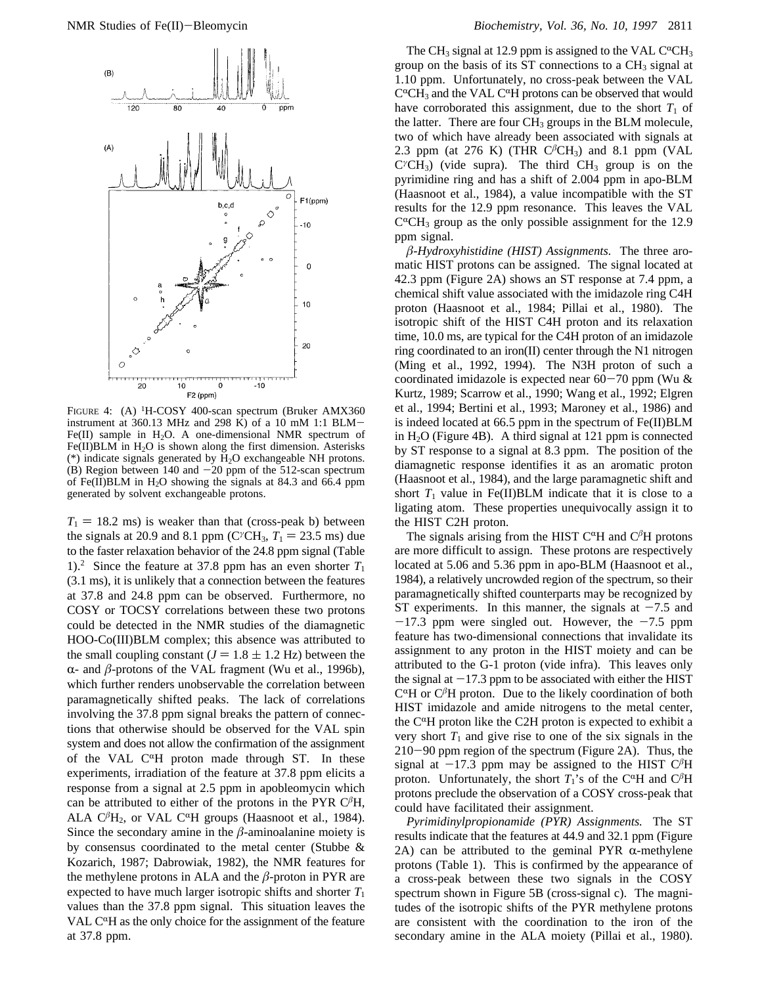

FIGURE 4: (A) <sup>1</sup>H-COSY 400-scan spectrum (Bruker AMX360 instrument at 360.13 MHz and 298 K) of a 10 mM 1:1 BLM-Fe(II) sample in  $H_2O$ . A one-dimensional NMR spectrum of Fe(II)BLM in  $H_2O$  is shown along the first dimension. Asterisks (\*) indicate signals generated by H2O exchangeable NH protons.  $(B)$  Region between 140 and  $-20$  ppm of the 512-scan spectrum of Fe(II)BLM in  $H_2O$  showing the signals at 84.3 and 66.4 ppm generated by solvent exchangeable protons.

 $T_1 = 18.2$  ms) is weaker than that (cross-peak b) between the signals at 20.9 and 8.1 ppm ( $C^{\gamma}CH_3$ ,  $T_1 = 23.5$  ms) due to the faster relaxation behavior of the 24.8 ppm signal (Table 1).<sup>2</sup> Since the feature at 37.8 ppm has an even shorter  $T_1$ (3.1 ms), it is unlikely that a connection between the features at 37.8 and 24.8 ppm can be observed. Furthermore, no COSY or TOCSY correlations between these two protons could be detected in the NMR studies of the diamagnetic HOO-Co(III)BLM complex; this absence was attributed to the small coupling constant ( $J = 1.8 \pm 1.2$  Hz) between the  $\alpha$ - and  $\beta$ -protons of the VAL fragment (Wu et al., 1996b), which further renders unobservable the correlation between paramagnetically shifted peaks. The lack of correlations involving the 37.8 ppm signal breaks the pattern of connections that otherwise should be observed for the VAL spin system and does not allow the confirmation of the assignment of the VAL  $C^{\alpha}H$  proton made through ST. In these experiments, irradiation of the feature at 37.8 ppm elicits a response from a signal at 2.5 ppm in apobleomycin which can be attributed to either of the protons in the PYR  $C<sup>\beta</sup>H$ , ALA  $C^{\beta}H_2$ , or VAL  $C^{\alpha}H$  groups (Haasnoot et al., 1984). Since the secondary amine in the  $\beta$ -aminoalanine moiety is by consensus coordinated to the metal center (Stubbe & Kozarich, 1987; Dabrowiak, 1982), the NMR features for the methylene protons in ALA and the *â*-proton in PYR are expected to have much larger isotropic shifts and shorter  $T_1$ values than the 37.8 ppm signal. This situation leaves the VAL  $C^{\alpha}H$  as the only choice for the assignment of the feature at 37.8 ppm.

The CH<sub>3</sub> signal at 12.9 ppm is assigned to the VAL C<sup> $\alpha$ </sup>CH<sub>3</sub> group on the basis of its ST connections to a  $CH<sub>3</sub>$  signal at 1.10 ppm. Unfortunately, no cross-peak between the VAL  $C^{\alpha}CH_3$  and the VAL  $C^{\alpha}H$  protons can be observed that would have corroborated this assignment, due to the short  $T_1$  of the latter. There are four  $CH<sub>3</sub>$  groups in the BLM molecule, two of which have already been associated with signals at 2.3 ppm (at 276 K) (THR  $C<sup>\beta</sup>CH<sub>3</sub>$ ) and 8.1 ppm (VAL C<sup>γ</sup>CH<sub>3</sub>) (vide supra). The third CH<sub>3</sub> group is on the pyrimidine ring and has a shift of 2.004 ppm in apo-BLM (Haasnoot et al., 1984), a value incompatible with the ST results for the 12.9 ppm resonance. This leaves the VAL  $C^{\alpha}CH_3$  group as the only possible assignment for the 12.9 ppm signal.

*â*-*Hydroxyhistidine (HIST) Assignments.* The three aromatic HIST protons can be assigned. The signal located at 42.3 ppm (Figure 2A) shows an ST response at 7.4 ppm, a chemical shift value associated with the imidazole ring C4H proton (Haasnoot et al., 1984; Pillai et al., 1980). The isotropic shift of the HIST C4H proton and its relaxation time, 10.0 ms, are typical for the C4H proton of an imidazole ring coordinated to an iron(II) center through the N1 nitrogen (Ming et al., 1992, 1994). The N3H proton of such a coordinated imidazole is expected near  $60-70$  ppm (Wu  $\&$ Kurtz, 1989; Scarrow et al., 1990; Wang et al., 1992; Elgren et al., 1994; Bertini et al., 1993; Maroney et al., 1986) and is indeed located at 66.5 ppm in the spectrum of Fe(II)BLM in  $H<sub>2</sub>O$  (Figure 4B). A third signal at 121 ppm is connected by ST response to a signal at 8.3 ppm. The position of the diamagnetic response identifies it as an aromatic proton (Haasnoot et al., 1984), and the large paramagnetic shift and short  $T_1$  value in Fe(II)BLM indicate that it is close to a ligating atom. These properties unequivocally assign it to the HIST C2H proton.

The signals arising from the HIST  $C^{\alpha}H$  and  $C^{\beta}H$  protons are more difficult to assign. These protons are respectively located at 5.06 and 5.36 ppm in apo-BLM (Haasnoot et al., 1984), a relatively uncrowded region of the spectrum, so their paramagnetically shifted counterparts may be recognized by ST experiments. In this manner, the signals at  $-7.5$  and  $-17.3$  ppm were singled out. However, the  $-7.5$  ppm feature has two-dimensional connections that invalidate its assignment to any proton in the HIST moiety and can be attributed to the G-1 proton (vide infra). This leaves only the signal at  $-17.3$  ppm to be associated with either the HIST  $C^{\alpha}H$  or  $C^{\beta}H$  proton. Due to the likely coordination of both HIST imidazole and amide nitrogens to the metal center, the  $C^{\alpha}H$  proton like the C2H proton is expected to exhibit a very short  $T_1$  and give rise to one of the six signals in the 210-90 ppm region of the spectrum (Figure 2A). Thus, the signal at  $-17.3$  ppm may be assigned to the HIST  $C<sup>\beta</sup>H$ proton. Unfortunately, the short  $T_1$ 's of the C<sup> $\alpha$ </sup>H and C<sup> $\beta$ </sup>H protons preclude the observation of a COSY cross-peak that could have facilitated their assignment.

*Pyrimidinylpropionamide (PYR) Assignments.* The ST results indicate that the features at 44.9 and 32.1 ppm (Figure 2A) can be attributed to the geminal PYR  $\alpha$ -methylene protons (Table 1). This is confirmed by the appearance of a cross-peak between these two signals in the COSY spectrum shown in Figure 5B (cross-signal c). The magnitudes of the isotropic shifts of the PYR methylene protons are consistent with the coordination to the iron of the secondary amine in the ALA moiety (Pillai et al., 1980).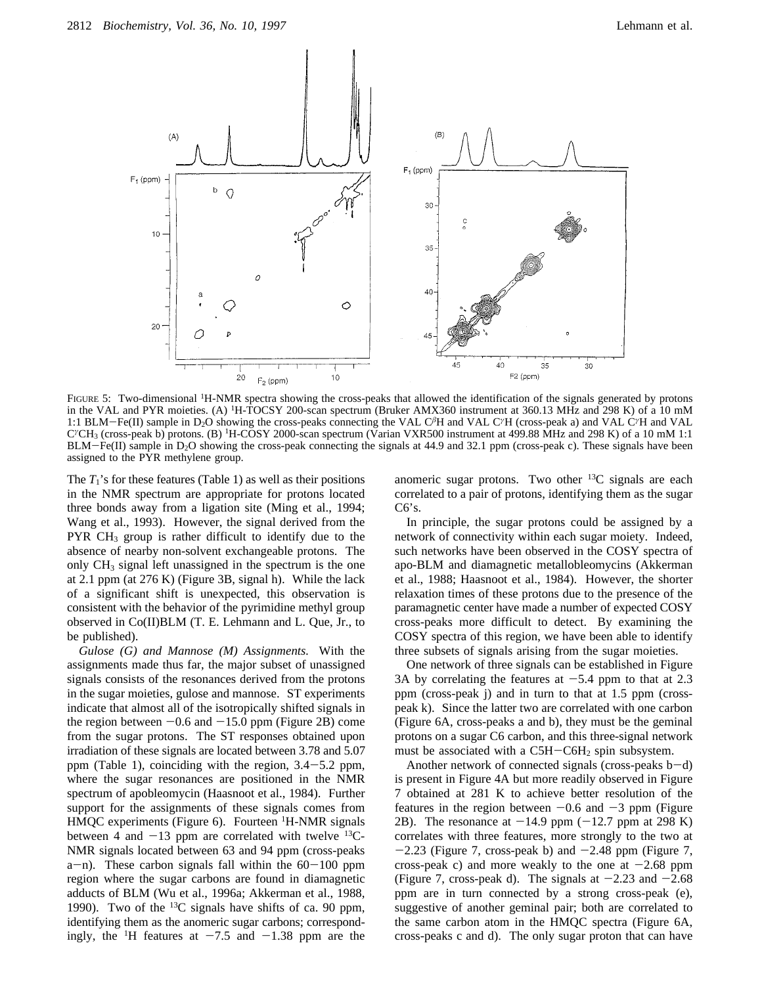

FIGURE 5: Two-dimensional <sup>1</sup>H-NMR spectra showing the cross-peaks that allowed the identification of the signals generated by protons in the VAL and PYR moieties. (A) 1H-TOCSY 200-scan spectrum (Bruker AMX360 instrument at 360.13 MHz and 298 K) of a 10 mM 1:1 BLM-Fe(II) sample in D2O showing the cross-peaks connecting the VAL C*<sup>â</sup>*H and VAL C*<sup>γ</sup>*H (cross-peak a) and VAL C*<sup>γ</sup>*H and VAL C*<sup>γ</sup>*CH3 (cross-peak b) protons. (B) 1H-COSY 2000-scan spectrum (Varian VXR500 instrument at 499.88 MHz and 298 K) of a 10 mM 1:1  $BLM-Fe(II)$  sample in  $D_2O$  showing the cross-peak connecting the signals at 44.9 and 32.1 ppm (cross-peak c). These signals have been assigned to the PYR methylene group.

The  $T_1$ 's for these features (Table 1) as well as their positions in the NMR spectrum are appropriate for protons located three bonds away from a ligation site (Ming et al., 1994; Wang et al., 1993). However, the signal derived from the PYR  $CH<sub>3</sub>$  group is rather difficult to identify due to the absence of nearby non-solvent exchangeable protons. The only  $CH<sub>3</sub>$  signal left unassigned in the spectrum is the one at 2.1 ppm (at 276 K) (Figure 3B, signal h). While the lack of a significant shift is unexpected, this observation is consistent with the behavior of the pyrimidine methyl group observed in Co(II)BLM (T. E. Lehmann and L. Que, Jr., to be published).

*Gulose (G) and Mannose (M) Assignments.* With the assignments made thus far, the major subset of unassigned signals consists of the resonances derived from the protons in the sugar moieties, gulose and mannose. ST experiments indicate that almost all of the isotropically shifted signals in the region between  $-0.6$  and  $-15.0$  ppm (Figure 2B) come from the sugar protons. The ST responses obtained upon irradiation of these signals are located between 3.78 and 5.07 ppm (Table 1), coinciding with the region, 3.4-5.2 ppm, where the sugar resonances are positioned in the NMR spectrum of apobleomycin (Haasnoot et al., 1984). Further support for the assignments of these signals comes from HMQC experiments (Figure 6). Fourteen <sup>1</sup>H-NMR signals between 4 and  $-13$  ppm are correlated with twelve  $^{13}C-$ NMR signals located between 63 and 94 ppm (cross-peaks  $a-n$ ). These carbon signals fall within the  $60-100$  ppm region where the sugar carbons are found in diamagnetic adducts of BLM (Wu et al., 1996a; Akkerman et al., 1988, 1990). Two of the  $^{13}$ C signals have shifts of ca. 90 ppm, identifying them as the anomeric sugar carbons; correspondingly, the <sup>1</sup>H features at  $-7.5$  and  $-1.38$  ppm are the anomeric sugar protons. Two other  $^{13}$ C signals are each correlated to a pair of protons, identifying them as the sugar  $C6's.$ 

In principle, the sugar protons could be assigned by a network of connectivity within each sugar moiety. Indeed, such networks have been observed in the COSY spectra of apo-BLM and diamagnetic metallobleomycins (Akkerman et al., 1988; Haasnoot et al., 1984). However, the shorter relaxation times of these protons due to the presence of the paramagnetic center have made a number of expected COSY cross-peaks more difficult to detect. By examining the COSY spectra of this region, we have been able to identify three subsets of signals arising from the sugar moieties.

One network of three signals can be established in Figure 3A by correlating the features at  $-5.4$  ppm to that at 2.3 ppm (cross-peak j) and in turn to that at 1.5 ppm (crosspeak k). Since the latter two are correlated with one carbon (Figure 6A, cross-peaks a and b), they must be the geminal protons on a sugar C6 carbon, and this three-signal network must be associated with a  $C5H-C6H<sub>2</sub>$  spin subsystem.

Another network of connected signals (cross-peaks  $b-d$ ) is present in Figure 4A but more readily observed in Figure 7 obtained at 281 K to achieve better resolution of the features in the region between  $-0.6$  and  $-3$  ppm (Figure 2B). The resonance at  $-14.9$  ppm  $(-12.7$  ppm at 298 K) correlates with three features, more strongly to the two at  $-2.23$  (Figure 7, cross-peak b) and  $-2.48$  ppm (Figure 7, cross-peak c) and more weakly to the one at  $-2.68$  ppm (Figure 7, cross-peak d). The signals at  $-2.23$  and  $-2.68$ ppm are in turn connected by a strong cross-peak (e), suggestive of another geminal pair; both are correlated to the same carbon atom in the HMQC spectra (Figure 6A, cross-peaks c and d). The only sugar proton that can have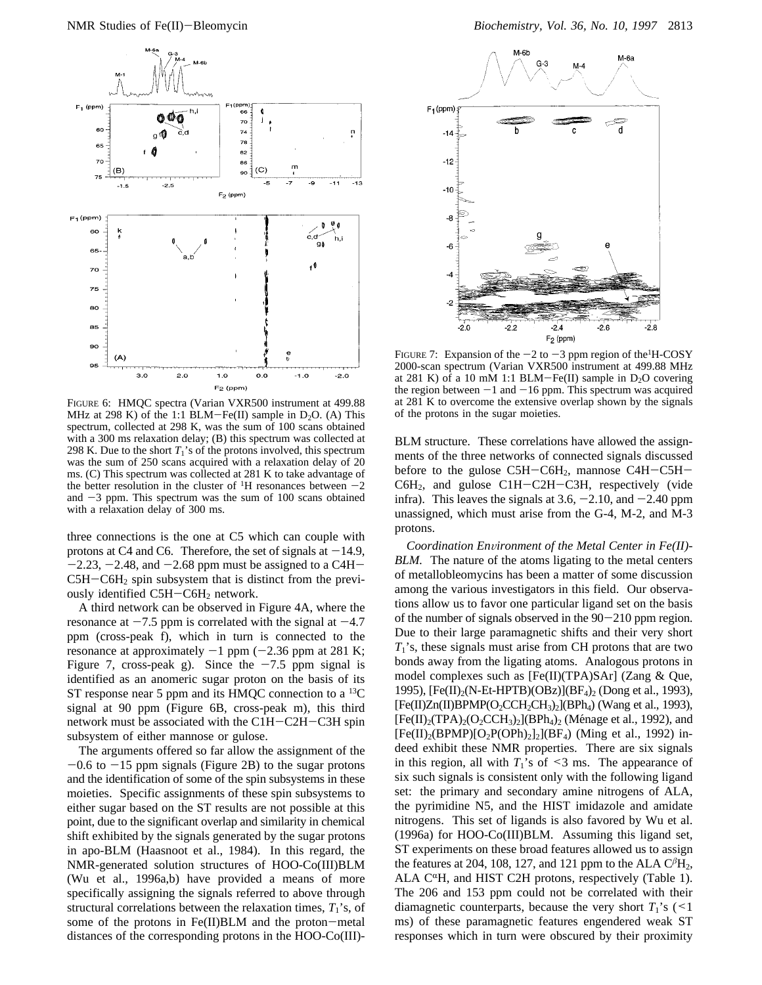

FIGURE 6: HMQC spectra (Varian VXR500 instrument at 499.88 MHz at 298 K) of the 1:1 BLM-Fe(II) sample in  $D_2O$ . (A) This spectrum, collected at 298 K, was the sum of 100 scans obtained with a 300 ms relaxation delay; (B) this spectrum was collected at 298 K. Due to the short  $T_1$ 's of the protons involved, this spectrum was the sum of 250 scans acquired with a relaxation delay of 20 ms. (C) This spectrum was collected at 281 K to take advantage of the better resolution in the cluster of <sup>1</sup>H resonances between  $-2$ and  $-3$  ppm. This spectrum was the sum of 100 scans obtained with a relaxation delay of 300 ms.

three connections is the one at C5 which can couple with protons at C4 and C6. Therefore, the set of signals at  $-14.9$ ,  $-2.23, -2.48,$  and  $-2.68$  ppm must be assigned to a C4H- $C5H-C6H<sub>2</sub>$  spin subsystem that is distinct from the previously identified C5H-C6H<sub>2</sub> network.

A third network can be observed in Figure 4A, where the resonance at  $-7.5$  ppm is correlated with the signal at  $-4.7$ ppm (cross-peak f), which in turn is connected to the resonance at approximately  $-1$  ppm ( $-2.36$  ppm at 281 K; Figure 7, cross-peak g). Since the  $-7.5$  ppm signal is identified as an anomeric sugar proton on the basis of its ST response near 5 ppm and its HMQC connection to a  $^{13}C$ signal at 90 ppm (Figure 6B, cross-peak m), this third network must be associated with the C1H-C2H-C3H spin subsystem of either mannose or gulose.

The arguments offered so far allow the assignment of the  $-0.6$  to  $-15$  ppm signals (Figure 2B) to the sugar protons and the identification of some of the spin subsystems in these moieties. Specific assignments of these spin subsystems to either sugar based on the ST results are not possible at this point, due to the significant overlap and similarity in chemical shift exhibited by the signals generated by the sugar protons in apo-BLM (Haasnoot et al., 1984). In this regard, the NMR-generated solution structures of HOO-Co(III)BLM (Wu et al., 1996a,b) have provided a means of more specifically assigning the signals referred to above through structural correlations between the relaxation times,  $T_1$ 's, of some of the protons in Fe(II)BLM and the proton-metal distances of the corresponding protons in the HOO-Co(III)-



FIGURE 7: Expansion of the  $-2$  to  $-3$  ppm region of the H-COSY 2000-scan spectrum (Varian VXR500 instrument at 499.88 MHz at 281 K) of a 10 mM 1:1 BLM-Fe(II) sample in  $D_2O$  covering the region between  $-1$  and  $-16$  ppm. This spectrum was acquired at 281 K to overcome the extensive overlap shown by the signals of the protons in the sugar moieties.

BLM structure. These correlations have allowed the assignments of the three networks of connected signals discussed before to the gulose  $C5H-C6H_2$ , mannose  $C4H-C5H-$ C6H2, and gulose C1H-C2H-C3H, respectively (vide infra). This leaves the signals at  $3.6$ ,  $-2.10$ , and  $-2.40$  ppm unassigned, which must arise from the G-4, M-2, and M-3 protons.

*Coordination Environment of the Metal Center in Fe(II)-BLM.* The nature of the atoms ligating to the metal centers of metallobleomycins has been a matter of some discussion among the various investigators in this field. Our observations allow us to favor one particular ligand set on the basis of the number of signals observed in the  $90-210$  ppm region. Due to their large paramagnetic shifts and their very short *T*1's, these signals must arise from CH protons that are two bonds away from the ligating atoms. Analogous protons in model complexes such as [Fe(II)(TPA)SAr] (Zang & Que, 1995), [Fe(II)2(N-Et-HPTB)(OBz)](BF4)2 (Dong et al., 1993),  $[Fe(II)Zn(II)BPMP(O_2CCH_2CH_3)_2] (BPh_4)$  (Wang et al., 1993),  $[Fe(II)_2(TPA)_2(O_2CCH_3)_2] (BPh_4)_2$  (Ménage et al., 1992), and  $[Fe(II)_2(BPMP)[O_2P(OPh)_2]$ <sub>2</sub> $[BF_4)$  (Ming et al., 1992) indeed exhibit these NMR properties. There are six signals in this region, all with  $T_1$ 's of <3 ms. The appearance of six such signals is consistent only with the following ligand set: the primary and secondary amine nitrogens of ALA, the pyrimidine N5, and the HIST imidazole and amidate nitrogens. This set of ligands is also favored by Wu et al. (1996a) for HOO-Co(III)BLM. Assuming this ligand set, ST experiments on these broad features allowed us to assign the features at 204, 108, 127, and 121 ppm to the ALA  $C<sup>\beta</sup>H<sub>2</sub>$ , ALA C<sup> $\alpha$ </sup>H, and HIST C2H protons, respectively (Table 1). The 206 and 153 ppm could not be correlated with their diamagnetic counterparts, because the very short  $T_1$ 's (<1 ms) of these paramagnetic features engendered weak ST responses which in turn were obscured by their proximity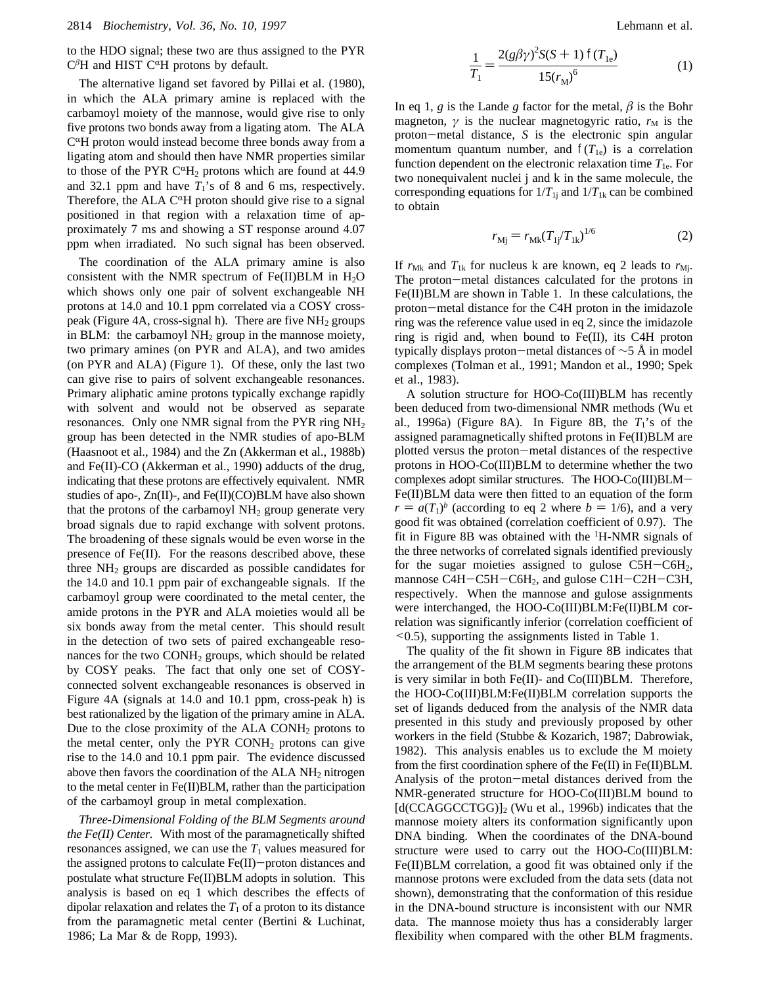to the HDO signal; these two are thus assigned to the PYR  $C^{\beta}$ H and HIST  $C^{\alpha}$ H protons by default.

The alternative ligand set favored by Pillai et al. (1980), in which the ALA primary amine is replaced with the carbamoyl moiety of the mannose, would give rise to only five protons two bonds away from a ligating atom. The ALA  $C^{\alpha}H$  proton would instead become three bonds away from a ligating atom and should then have NMR properties similar to those of the PYR  $C^{\alpha}H_2$  protons which are found at 44.9 and 32.1 ppm and have  $T_1$ 's of 8 and 6 ms, respectively. Therefore, the ALA  $C^{\alpha}H$  proton should give rise to a signal positioned in that region with a relaxation time of approximately 7 ms and showing a ST response around 4.07 ppm when irradiated. No such signal has been observed.

The coordination of the ALA primary amine is also consistent with the NMR spectrum of  $Fe(II)BLM$  in  $H<sub>2</sub>O$ which shows only one pair of solvent exchangeable NH protons at 14.0 and 10.1 ppm correlated via a COSY crosspeak (Figure 4A, cross-signal h). There are five  $NH<sub>2</sub>$  groups in BLM: the carbamoyl  $NH<sub>2</sub>$  group in the mannose moiety, two primary amines (on PYR and ALA), and two amides (on PYR and ALA) (Figure 1). Of these, only the last two can give rise to pairs of solvent exchangeable resonances. Primary aliphatic amine protons typically exchange rapidly with solvent and would not be observed as separate resonances. Only one NMR signal from the PYR ring NH2 group has been detected in the NMR studies of apo-BLM (Haasnoot et al., 1984) and the Zn (Akkerman et al., 1988b) and Fe(II)-CO (Akkerman et al., 1990) adducts of the drug, indicating that these protons are effectively equivalent. NMR studies of apo-, Zn(II)-, and Fe(II)(CO)BLM have also shown that the protons of the carbamoyl  $NH<sub>2</sub>$  group generate very broad signals due to rapid exchange with solvent protons. The broadening of these signals would be even worse in the presence of Fe(II). For the reasons described above, these three NH2 groups are discarded as possible candidates for the 14.0 and 10.1 ppm pair of exchangeable signals. If the carbamoyl group were coordinated to the metal center, the amide protons in the PYR and ALA moieties would all be six bonds away from the metal center. This should result in the detection of two sets of paired exchangeable resonances for the two  $COMH<sub>2</sub>$  groups, which should be related by COSY peaks. The fact that only one set of COSYconnected solvent exchangeable resonances is observed in Figure 4A (signals at 14.0 and 10.1 ppm, cross-peak h) is best rationalized by the ligation of the primary amine in ALA. Due to the close proximity of the  $ALA$  CONH<sub>2</sub> protons to the metal center, only the  $PYR$  CONH<sub>2</sub> protons can give rise to the 14.0 and 10.1 ppm pair. The evidence discussed above then favors the coordination of the ALA  $NH<sub>2</sub>$  nitrogen to the metal center in Fe(II)BLM, rather than the participation of the carbamoyl group in metal complexation.

*Three-Dimensional Folding of the BLM Segments around the Fe(II) Center.* With most of the paramagnetically shifted resonances assigned, we can use the  $T_1$  values measured for the assigned protons to calculate  $Fe(II)-proton$  distances and postulate what structure Fe(II)BLM adopts in solution. This analysis is based on eq 1 which describes the effects of dipolar relaxation and relates the  $T_1$  of a proton to its distance from the paramagnetic metal center (Bertini & Luchinat, 1986; La Mar & de Ropp, 1993).

$$
\frac{1}{T_1} = \frac{2(g\beta\gamma)^2 S(S+1) \ \mathcal{I}(T_{1e})}{15(r_M)^6} \tag{1}
$$

In eq 1, *g* is the Lande *g* factor for the metal,  $\beta$  is the Bohr magneton,  $\gamma$  is the nuclear magnetogyric ratio,  $r_M$  is the proton-metal distance, *S* is the electronic spin angular momentum quantum number, and  $f(T_{1e})$  is a correlation function dependent on the electronic relaxation time  $T_{1e}$ . For two nonequivalent nuclei j and k in the same molecule, the corresponding equations for  $1/T_{1j}$  and  $1/T_{1k}$  can be combined to obtain

$$
r_{\rm Mj} = r_{\rm Mk} (T_{\rm 1j} / T_{\rm 1k})^{1/6} \tag{2}
$$

If  $r_{Mk}$  and  $T_{1k}$  for nucleus k are known, eq 2 leads to  $r_{Mj}$ . The proton-metal distances calculated for the protons in Fe(II)BLM are shown in Table 1. In these calculations, the proton-metal distance for the C4H proton in the imidazole ring was the reference value used in eq 2, since the imidazole ring is rigid and, when bound to Fe(II), its C4H proton typically displays proton-metal distances of  $\sim$ 5 Å in model complexes (Tolman et al., 1991; Mandon et al., 1990; Spek et al., 1983).

A solution structure for HOO-Co(III)BLM has recently been deduced from two-dimensional NMR methods (Wu et al., 1996a) (Figure 8A). In Figure 8B, the  $T_1$ 's of the assigned paramagnetically shifted protons in Fe(II)BLM are plotted versus the proton-metal distances of the respective protons in HOO-Co(III)BLM to determine whether the two complexes adopt similar structures. The HOO-Co(III)BLM-Fe(II)BLM data were then fitted to an equation of the form  $r = a(T_1)^b$  (according to eq 2 where  $b = 1/6$ ), and a very good fit was obtained (correlation coefficient of 0.97). The fit in Figure 8B was obtained with the <sup>1</sup> H-NMR signals of the three networks of correlated signals identified previously for the sugar moieties assigned to gulose  $C5H-C6H_2$ , mannose C4H-C5H-C6H<sub>2</sub>, and gulose C1H-C2H-C3H, respectively. When the mannose and gulose assignments were interchanged, the HOO-Co(III)BLM:Fe(II)BLM correlation was significantly inferior (correlation coefficient of <0.5), supporting the assignments listed in Table 1.

The quality of the fit shown in Figure 8B indicates that the arrangement of the BLM segments bearing these protons is very similar in both Fe(II)- and Co(III)BLM. Therefore, the HOO-Co(III)BLM:Fe(II)BLM correlation supports the set of ligands deduced from the analysis of the NMR data presented in this study and previously proposed by other workers in the field (Stubbe & Kozarich, 1987; Dabrowiak, 1982). This analysis enables us to exclude the M moiety from the first coordination sphere of the Fe(II) in Fe(II)BLM. Analysis of the proton-metal distances derived from the NMR-generated structure for HOO-Co(III)BLM bound to  $[d(CCAGGCCTGG)]_2$  (Wu et al., 1996b) indicates that the mannose moiety alters its conformation significantly upon DNA binding. When the coordinates of the DNA-bound structure were used to carry out the HOO-Co(III)BLM: Fe(II)BLM correlation, a good fit was obtained only if the mannose protons were excluded from the data sets (data not shown), demonstrating that the conformation of this residue in the DNA-bound structure is inconsistent with our NMR data. The mannose moiety thus has a considerably larger flexibility when compared with the other BLM fragments.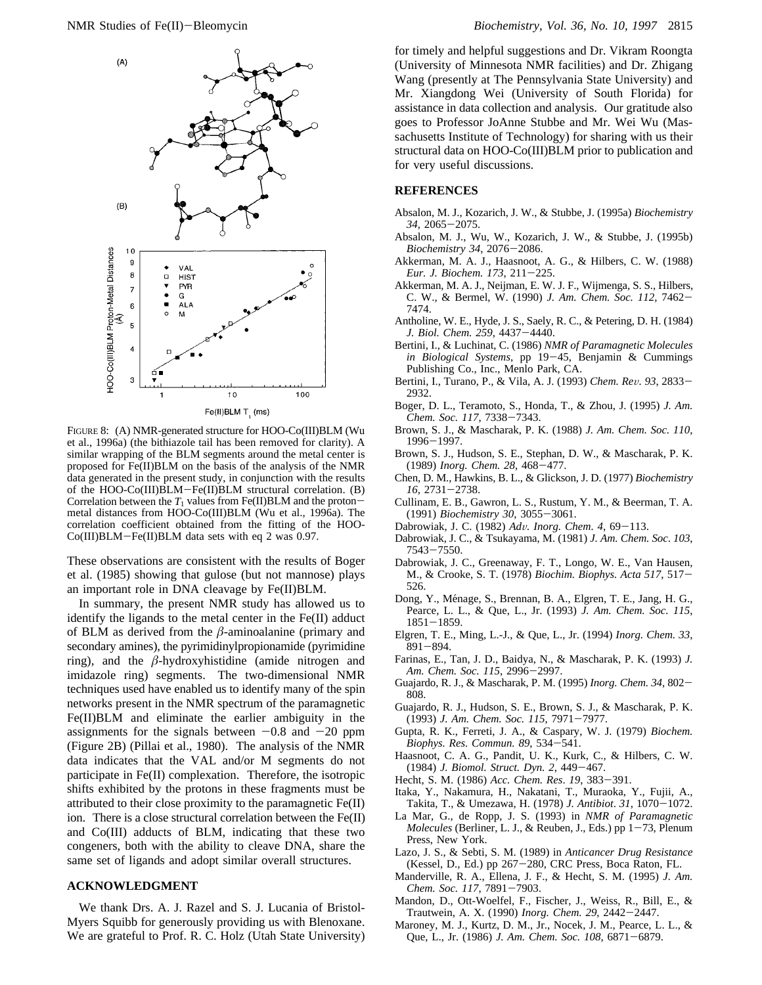

FIGURE 8: (A) NMR-generated structure for HOO-Co(III)BLM (Wu et al., 1996a) (the bithiazole tail has been removed for clarity). A similar wrapping of the BLM segments around the metal center is proposed for Fe(II)BLM on the basis of the analysis of the NMR data generated in the present study, in conjunction with the results of the HOO-Co(III)BLM-Fe(II)BLM structural correlation. (B) Correlation between the  $T_1$  values from Fe(II)BLM and the protonmetal distances from HOO-Co(III)BLM (Wu et al., 1996a). The correlation coefficient obtained from the fitting of the HOO-Co(III)BLM-Fe(II)BLM data sets with eq 2 was 0.97.

These observations are consistent with the results of Boger et al. (1985) showing that gulose (but not mannose) plays an important role in DNA cleavage by Fe(II)BLM.

In summary, the present NMR study has allowed us to identify the ligands to the metal center in the Fe(II) adduct of BLM as derived from the *â*-aminoalanine (primary and secondary amines), the pyrimidinylpropionamide (pyrimidine ring), and the *â*-hydroxyhistidine (amide nitrogen and imidazole ring) segments. The two-dimensional NMR techniques used have enabled us to identify many of the spin networks present in the NMR spectrum of the paramagnetic Fe(II)BLM and eliminate the earlier ambiguity in the assignments for the signals between  $-0.8$  and  $-20$  ppm (Figure 2B) (Pillai et al., 1980). The analysis of the NMR data indicates that the VAL and/or M segments do not participate in Fe(II) complexation. Therefore, the isotropic shifts exhibited by the protons in these fragments must be attributed to their close proximity to the paramagnetic Fe(II) ion. There is a close structural correlation between the Fe(II) and Co(III) adducts of BLM, indicating that these two congeners, both with the ability to cleave DNA, share the same set of ligands and adopt similar overall structures.

## **ACKNOWLEDGMENT**

We thank Drs. A. J. Razel and S. J. Lucania of Bristol-Myers Squibb for generously providing us with Blenoxane. We are grateful to Prof. R. C. Holz (Utah State University) for timely and helpful suggestions and Dr. Vikram Roongta (University of Minnesota NMR facilities) and Dr. Zhigang Wang (presently at The Pennsylvania State University) and Mr. Xiangdong Wei (University of South Florida) for assistance in data collection and analysis. Our gratitude also goes to Professor JoAnne Stubbe and Mr. Wei Wu (Massachusetts Institute of Technology) for sharing with us their structural data on HOO-Co(III)BLM prior to publication and for very useful discussions.

#### **REFERENCES**

- Absalon, M. J., Kozarich, J. W., & Stubbe, J. (1995a) *Biochemistry 34*, 2065-2075.
- Absalon, M. J., Wu, W., Kozarich, J. W., & Stubbe, J. (1995b) *Biochemistry 34*, 2076-2086.
- Akkerman, M. A. J., Haasnoot, A. G., & Hilbers, C. W. (1988) *Eur. J. Biochem. 173*, 211-225.
- Akkerman, M. A. J., Neijman, E. W. J. F., Wijmenga, S. S., Hilbers, C. W., & Bermel, W. (1990) *J. Am. Chem. Soc. 112*, 7462- 7474.
- Antholine, W. E., Hyde, J. S., Saely, R. C., & Petering, D. H. (1984) *J. Biol. Chem. 259*, 4437-4440.
- Bertini, I., & Luchinat, C. (1986) *NMR of Paramagnetic Molecules in Biological Systems*, pp 19-45, Benjamin & Cummings Publishing Co., Inc., Menlo Park, CA.
- Bertini, I., Turano, P., & Vila, A. J. (1993) *Chem. Re*V*. 93*, 2833- 2932.
- Boger, D. L., Teramoto, S., Honda, T., & Zhou, J. (1995) *J. Am. Chem. Soc. 117*, 7338-7343.
- Brown, S. J., & Mascharak, P. K. (1988) *J. Am. Chem. Soc. 110*, 1996-1997.
- Brown, S. J., Hudson, S. E., Stephan, D. W., & Mascharak, P. K. (1989) *Inorg. Chem. 28*, 468-477.
- Chen, D. M., Hawkins, B. L., & Glickson, J. D. (1977) *Biochemistry 16*, 2731-2738.
- Cullinam, E. B., Gawron, L. S., Rustum, Y. M., & Beerman, T. A. (1991) *Biochemistry 30*, 3055-3061.
- Dabrowiak, J. C. (1982) *Ad*V*. Inorg. Chem. 4*, 69-113.
- Dabrowiak, J. C., & Tsukayama, M. (1981) *J. Am. Chem. Soc*. *103*, 7543-7550.
- Dabrowiak, J. C., Greenaway, F. T., Longo, W. E., Van Hausen, M., & Crooke, S. T. (1978) *Biochim. Biophys. Acta 517*, 517- 526.
- Dong, Y., Ménage, S., Brennan, B. A., Elgren, T. E., Jang, H. G., Pearce, L. L., & Que, L., Jr. (1993) *J. Am. Chem. Soc. 115*, 1851-1859.
- Elgren, T. E., Ming, L.-J., & Que, L., Jr. (1994) *Inorg. Chem. 33*, 891-894.
- Farinas, E., Tan, J. D., Baidya, N., & Mascharak, P. K. (1993) *J. Am. Chem. Soc. 115*, 2996-2997.
- Guajardo, R. J., & Mascharak, P. M. (1995) *Inorg. Chem. 34*, 802- 808.
- Guajardo, R. J., Hudson, S. E., Brown, S. J., & Mascharak, P. K. (1993) *J. Am. Chem. Soc. 115*, 7971-7977.
- Gupta, R. K., Ferreti, J. A., & Caspary, W. J. (1979) *Biochem. Biophys. Res. Commun. 89*, 534-541.
- Haasnoot, C. A. G., Pandit, U. K., Kurk, C., & Hilbers, C. W. (1984) *J. Biomol. Struct. Dyn. 2*, 449-467.
- Hecht, S. M. (1986) *Acc. Chem. Res*. *19*, 383-391.
- Itaka, Y., Nakamura, H., Nakatani, T., Muraoka, Y., Fujii, A., Takita, T., & Umezawa, H. (1978) *J. Antibiot*. *31*, 1070-1072.
- La Mar, G., de Ropp, J. S. (1993) in *NMR of Paramagnetic Molecules* (Berliner, L. J., & Reuben, J., Eds.) pp 1-73, Plenum Press, New York.
- Lazo, J. S., & Sebti, S. M. (1989) in *Anticancer Drug Resistance* (Kessel, D., Ed.) pp 267-280, CRC Press, Boca Raton, FL.
- Manderville, R. A., Ellena, J. F., & Hecht, S. M. (1995) *J. Am. Chem. Soc. 117*, 7891-7903.
- Mandon, D., Ott-Woelfel, F., Fischer, J., Weiss, R., Bill, E., & Trautwein, A. X. (1990) *Inorg. Chem. 29*, 2442-2447.
- Maroney, M. J., Kurtz, D. M., Jr., Nocek, J. M., Pearce, L. L., & Que, L., Jr. (1986) *J. Am. Chem. Soc. 108*, 6871-6879.